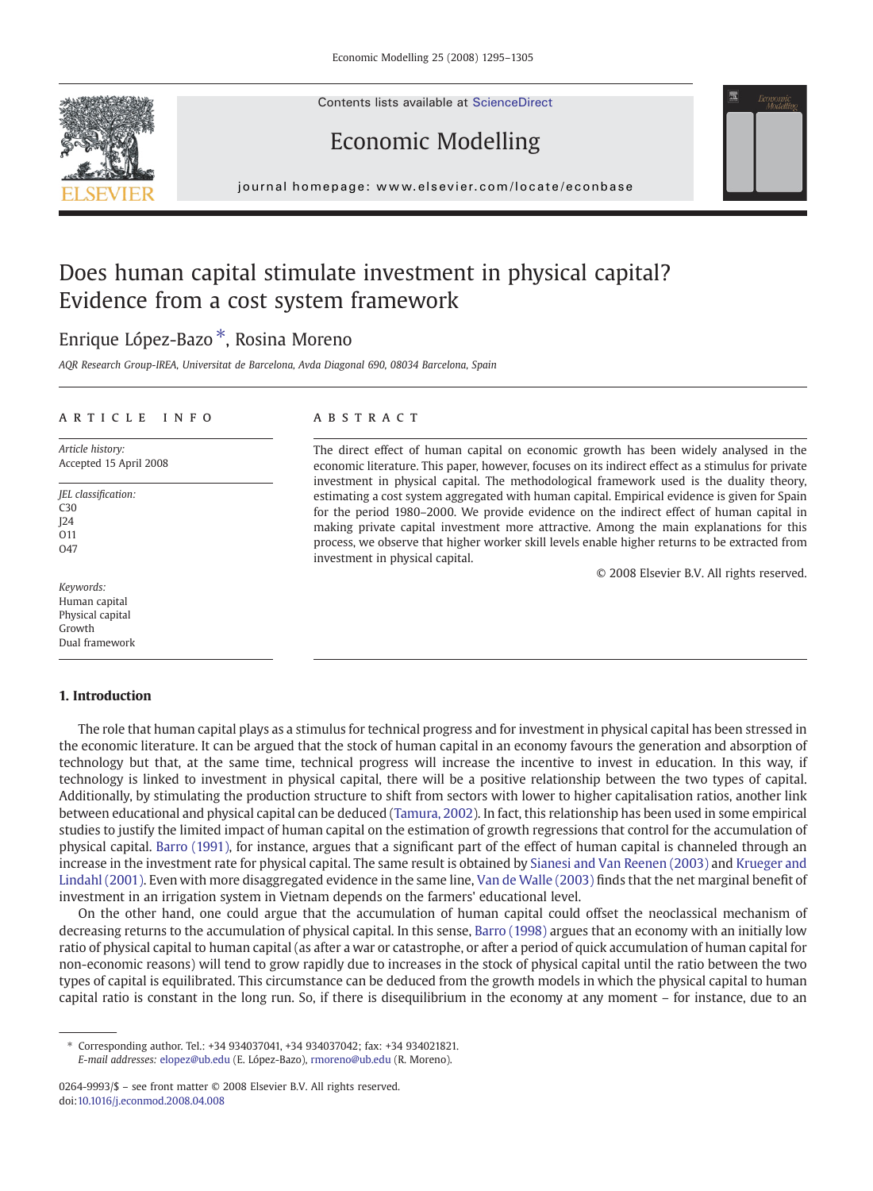Contents lists available at ScienceDirect





Economic Modelling

j o u r n a l h om e p a g e : www. e l s ev i e r. c om / l o c a t e / e c o n b a s e

## Does human capital stimulate investment in physical capital? Evidence from a cost system framework

## Enrique López-Bazo ⁎, Rosina Moreno

AQR Research Group-IREA, Universitat de Barcelona, Avda Diagonal 690, 08034 Barcelona, Spain

### article info abstract

Article history: Accepted 15 April 2008

JEL classification:  $C30$ J24  $011$  $\Omega$ 

Keywords: Human capital Physical capital Growth Dual framework

### 1. Introduction

The direct effect of human capital on economic growth has been widely analysed in the economic literature. This paper, however, focuses on its indirect effect as a stimulus for private investment in physical capital. The methodological framework used is the duality theory, estimating a cost system aggregated with human capital. Empirical evidence is given for Spain for the period 1980–2000. We provide evidence on the indirect effect of human capital in making private capital investment more attractive. Among the main explanations for this process, we observe that higher worker skill levels enable higher returns to be extracted from investment in physical capital.

© 2008 Elsevier B.V. All rights reserved.

The role that human capital plays as a stimulus for technical progress and for investment in physical capital has been stressed in the economic literature. It can be argued that the stock of human capital in an economy favours the generation and absorption of technology but that, at the same time, technical progress will increase the incentive to invest in education. In this way, if technology is linked to investment in physical capital, there will be a positive relationship between the two types of capital. Additionally, by stimulating the production structure to shift from sectors with lower to higher capitalisation ratios, another link between educational and physical capital can be deduced ([Tamura, 2002\)](#page--1-0). In fact, this relationship has been used in some empirical studies to justify the limited impact of human capital on the estimation of growth regressions that control for the accumulation of physical capital. [Barro \(1991\),](#page--1-0) for instance, argues that a significant part of the effect of human capital is channeled through an increase in the investment rate for physical capital. The same result is obtained by [Sianesi and Van Reenen \(2003\)](#page--1-0) and [Krueger and](#page--1-0) [Lindahl \(2001\)](#page--1-0). Even with more disaggregated evidence in the same line, [Van de Walle \(2003\)](#page--1-0) finds that the net marginal benefit of investment in an irrigation system in Vietnam depends on the farmers' educational level.

On the other hand, one could argue that the accumulation of human capital could offset the neoclassical mechanism of decreasing returns to the accumulation of physical capital. In this sense, [Barro \(1998\)](#page--1-0) argues that an economy with an initially low ratio of physical capital to human capital (as after a war or catastrophe, or after a period of quick accumulation of human capital for non-economic reasons) will tend to grow rapidly due to increases in the stock of physical capital until the ratio between the two types of capital is equilibrated. This circumstance can be deduced from the growth models in which the physical capital to human capital ratio is constant in the long run. So, if there is disequilibrium in the economy at any moment – for instance, due to an

⁎ Corresponding author. Tel.: +34 934037041, +34 934037042; fax: +34 934021821. E-mail addresses: [elopez@ub.edu](mailto:elopez@ub.edu) (E. López-Bazo), [rmoreno@ub.edu](mailto:rmoreno@ub.edu) (R. Moreno).

<sup>0264-9993/\$</sup> – see front matter © 2008 Elsevier B.V. All rights reserved. doi[:10.1016/j.econmod.2008.04.008](http://dx.doi.org/10.1016/j.econmod.2008.04.008)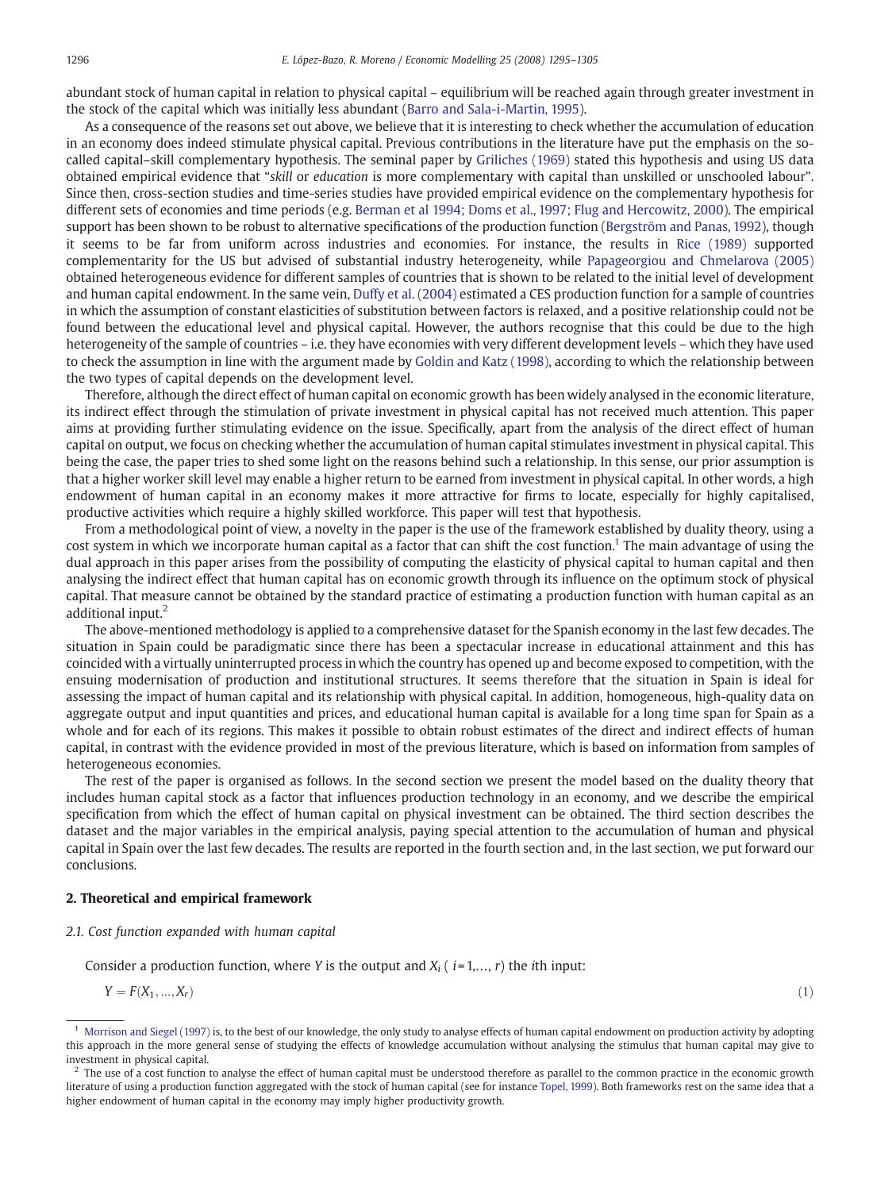abundant stock of human capital in relation to physical capital – equilibrium will be reached again through greater investment in the stock of the capital which was initially less abundant ([Barro and Sala-i-Martin, 1995](#page--1-0)).

As a consequence of the reasons set out above, we believe that it is interesting to check whether the accumulation of education in an economy does indeed stimulate physical capital. Previous contributions in the literature have put the emphasis on the socalled capital–skill complementary hypothesis. The seminal paper by [Griliches \(1969\)](#page--1-0) stated this hypothesis and using US data obtained empirical evidence that "skill or education is more complementary with capital than unskilled or unschooled labour". Since then, cross-section studies and time-series studies have provided empirical evidence on the complementary hypothesis for different sets of economies and time periods (e.g. [Berman et al 1994; Doms et al., 1997; Flug and Hercowitz, 2000](#page--1-0)). The empirical support has been shown to be robust to alternative specifications of the production function ([Bergström and Panas, 1992\)](#page--1-0), though it seems to be far from uniform across industries and economies. For instance, the results in [Rice \(1989\)](#page--1-0) supported complementarity for the US but advised of substantial industry heterogeneity, while [Papageorgiou and Chmelarova \(2005\)](#page--1-0) obtained heterogeneous evidence for different samples of countries that is shown to be related to the initial level of development and human capital endowment. In the same vein, [Duffy et al. \(2004\)](#page--1-0) estimated a CES production function for a sample of countries in which the assumption of constant elasticities of substitution between factors is relaxed, and a positive relationship could not be found between the educational level and physical capital. However, the authors recognise that this could be due to the high heterogeneity of the sample of countries – i.e. they have economies with very different development levels – which they have used to check the assumption in line with the argument made by [Goldin and Katz \(1998\)](#page--1-0), according to which the relationship between the two types of capital depends on the development level.

Therefore, although the direct effect of human capital on economic growth has been widely analysed in the economic literature, its indirect effect through the stimulation of private investment in physical capital has not received much attention. This paper aims at providing further stimulating evidence on the issue. Specifically, apart from the analysis of the direct effect of human capital on output, we focus on checking whether the accumulation of human capital stimulates investment in physical capital. This being the case, the paper tries to shed some light on the reasons behind such a relationship. In this sense, our prior assumption is that a higher worker skill level may enable a higher return to be earned from investment in physical capital. In other words, a high endowment of human capital in an economy makes it more attractive for firms to locate, especially for highly capitalised, productive activities which require a highly skilled workforce. This paper will test that hypothesis.

From a methodological point of view, a novelty in the paper is the use of the framework established by duality theory, using a cost system in which we incorporate human capital as a factor that can shift the cost function.<sup>1</sup> The main advantage of using the dual approach in this paper arises from the possibility of computing the elasticity of physical capital to human capital and then analysing the indirect effect that human capital has on economic growth through its influence on the optimum stock of physical capital. That measure cannot be obtained by the standard practice of estimating a production function with human capital as an additional input.<sup>2</sup>

The above-mentioned methodology is applied to a comprehensive dataset for the Spanish economy in the last few decades. The situation in Spain could be paradigmatic since there has been a spectacular increase in educational attainment and this has coincided with a virtually uninterrupted process in which the country has opened up and become exposed to competition, with the ensuing modernisation of production and institutional structures. It seems therefore that the situation in Spain is ideal for assessing the impact of human capital and its relationship with physical capital. In addition, homogeneous, high-quality data on aggregate output and input quantities and prices, and educational human capital is available for a long time span for Spain as a whole and for each of its regions. This makes it possible to obtain robust estimates of the direct and indirect effects of human capital, in contrast with the evidence provided in most of the previous literature, which is based on information from samples of heterogeneous economies.

The rest of the paper is organised as follows. In the second section we present the model based on the duality theory that includes human capital stock as a factor that influences production technology in an economy, and we describe the empirical specification from which the effect of human capital on physical investment can be obtained. The third section describes the dataset and the major variables in the empirical analysis, paying special attention to the accumulation of human and physical capital in Spain over the last few decades. The results are reported in the fourth section and, in the last section, we put forward our conclusions.

### 2. Theoretical and empirical framework

### 2.1. Cost function expanded with human capital

Consider a production function, where *Y* is the output and  $X_i$  (  $i=1,..., r$  ) the *i*th input:

 $Y = F(X_1, ..., X_r)$  (1)

<sup>1</sup> [Morrison and Siegel \(1997\)](#page--1-0) is, to the best of our knowledge, the only study to analyse effects of human capital endowment on production activity by adopting this approach in the more general sense of studying the effects of knowledge accumulation without analysing the stimulus that human capital may give to investment in physical capital.

 $^2$  The use of a cost function to analyse the effect of human capital must be understood therefore as parallel to the common practice in the economic growth literature of using a production function aggregated with the stock of human capital (see for instance [Topel, 1999\)](#page--1-0). Both frameworks rest on the same idea that a higher endowment of human capital in the economy may imply higher productivity growth.